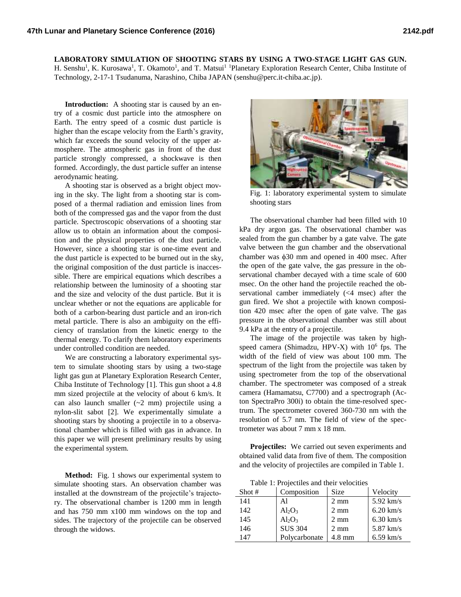## **LABORATORY SIMULATION OF SHOOTING STARS BY USING A TWO-STAGE LIGHT GAS GUN.**

H. Senshu<sup>1</sup>, K. Kurosawa<sup>1</sup>, T. Okamoto<sup>1</sup>, and T. Matsui<sup>1</sup> <sup>1</sup>Planetary Exploration Research Center, Chiba Institute of Technology, 2-17-1 Tsudanuma, Narashino, Chiba JAPAN (senshu@perc.it-chiba.ac.jp).

**Introduction:** A shooting star is caused by an entry of a cosmic dust particle into the atmosphere on Earth. The entry speed of a cosmic dust particle is higher than the escape velocity from the Earth's gravity, which far exceeds the sound velocity of the upper atmosphere. The atmospheric gas in front of the dust particle strongly compressed, a shockwave is then formed. Accordingly, the dust particle suffer an intense aerodynamic heating.

A shooting star is observed as a bright object moving in the sky. The light from a shooting star is composed of a thermal radiation and emission lines from both of the compressed gas and the vapor from the dust particle. Spectroscopic observations of a shooting star allow us to obtain an information about the composition and the physical properties of the dust particle. However, since a shooting star is one-time event and the dust particle is expected to be burned out in the sky, the original composition of the dust particle is inaccessible. There are empirical equations which describes a relationship between the luminosity of a shooting star and the size and velocity of the dust particle. But it is unclear whether or not the equations are applicable for both of a carbon-bearing dust particle and an iron-rich metal particle. There is also an ambiguity on the efficiency of translation from the kinetic energy to the thermal energy. To clarify them laboratory experiments under controlled condition are needed.

We are constructing a laboratory experimental system to simulate shooting stars by using a two-stage light gas gun at Planetary Exploration Research Center, Chiba Institute of Technology [1]. This gun shoot a 4.8 mm sized projectile at the velocity of about 6 km/s. It can also launch smaller (~2 mm) projectile using a nylon-slit sabot [2]. We experimentally simulate a shooting stars by shooting a projectile in to a observational chamber which is filled with gas in advance. In this paper we will present preliminary results by using the experimental system.

**Method:** Fig. 1 shows our experimental system to simulate shooting stars. An observation chamber was installed at the downstream of the projectile's trajectory. The observational chamber is 1200 mm in length and has 750 mm x100 mm windows on the top and sides. The trajectory of the projectile can be observed through the widows.



Fig. 1: laboratory experimental system to simulate shooting stars

The observational chamber had been filled with 10 kPa dry argon gas. The observational chamber was sealed from the gun chamber by a gate valve. The gate valve between the gun chamber and the observational chamber was  $\phi$ 30 mm and opened in 400 msec. After the open of the gate valve, the gas pressure in the observational chamber decayed with a time scale of 600 msec. On the other hand the projectile reached the observational camber immediately (<4 msec) after the gun fired. We shot a projectile with known composition 420 msec after the open of gate valve. The gas pressure in the observational chamber was still about 9.4 kPa at the entry of a projectile.

The image of the projectile was taken by highspeed camera (Shimadzu, HPV-X) with 10<sup>6</sup> fps. The width of the field of view was about 100 mm. The spectrum of the light from the projectile was taken by using spectrometer from the top of the observational chamber. The spectrometer was composed of a streak camera (Hamamatsu, C7700) and a spectrograph (Acton SpectraPro 300i) to obtain the time-resolved spectrum. The spectrometer covered 360-730 nm with the resolution of 5.7 nm. The field of view of the spectrometer was about 7 mm x 18 mm.

**Projectiles:** We carried out seven experiments and obtained valid data from five of them. The composition and the velocity of projectiles are compiled in Table 1.

Table 1: Projectiles and their velocities

| Shot $#$ | Composition    | <b>Size</b>    | Velocity            |
|----------|----------------|----------------|---------------------|
| 141      | Al             | $2 \text{ mm}$ | $5.92$ km/s         |
| 142      | $Al_2O_3$      | $2 \text{ mm}$ | $6.20 \text{ km/s}$ |
| 145      | $Al_2O_3$      | $2 \text{ mm}$ | $6.30 \text{ km/s}$ |
| 146      | <b>SUS 304</b> | $2 \text{ mm}$ | $5.87$ km/s         |
| 147      | Polycarbonate  | 4.8 mm         | $6.59$ km/s         |